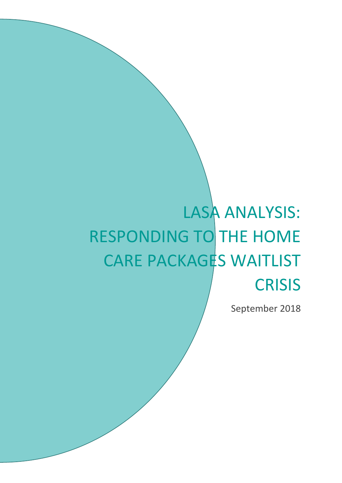# LASA ANALYSIS: RESPONDING TO THE HOME CARE PACKAGES WAITLIST **CRISIS**

September 2018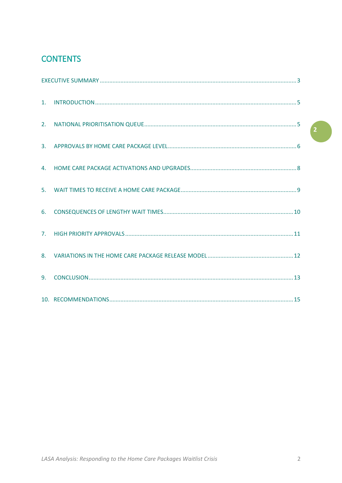# **CONTENTS**

| 6. |  |
|----|--|
|    |  |
|    |  |
|    |  |
|    |  |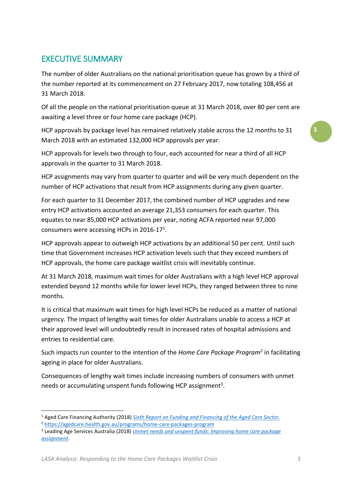## <span id="page-2-0"></span>EXECUTIVE SUMMARY

The number of older Australians on the national prioritisation queue has grown by a third of the number reported at its commencement on 27 February 2017, now totaling 108,456 at 31 March 2018.

Of all the people on the national prioritisation queue at 31 March 2018, over 80 per cent are awaiting a level three or four home care package (HCP).

HCP approvals by package level has remained relatively stable across the 12 months to 31 March 2018 with an estimated 132,000 HCP approvals per year.

HCP approvals for levels two through to four, each accounted for near a third of all HCP approvals in the quarter to 31 March 2018.

HCP assignments may vary from quarter to quarter and will be very much dependent on the number of HCP activations that result from HCP assignments during any given quarter.

For each quarter to 31 December 2017, the combined number of HCP upgrades and new entry HCP activations accounted an average 21,353 consumers for each quarter. This equates to near 85,000 HCP activations per year, noting ACFA reported near 97,000 consumers were accessing HCPs in 2016-17<sup>1</sup>.

HCP approvals appear to outweigh HCP activations by an additional 50 per cent. Until such time that Government increases HCP activation levels such that they exceed numbers of HCP approvals, the home care package waitlist crisis will inevitably continue.

At 31 March 2018, maximum wait times for older Australians with a high level HCP approval extended beyond 12 months while for lower level HCPs, they ranged between three to nine months.

It is critical that maximum wait times for high level HCPs be reduced as a matter of national urgency. The impact of lengthy wait times for older Australians unable to access a HCP at their approved level will undoubtedly result in increased rates of hospital admissions and entries to residential care.

Such impacts run counter to the intention of the *Home Care Package Program<sup>2</sup>* in facilitating ageing in place for older Australians.

Consequences of lengthy wait times include increasing numbers of consumers with unmet needs or accumulating unspent funds following HCP assignment<sup>3</sup>.

1

*LASA Analysis: Responding to the Home Care Packages Waitlist Crisis* 3

<sup>1</sup> Aged Care Financing Authority (2018) *Sixth Report on Funding and Financing of the Aged Care Sector.*

<sup>2</sup> <https://agedcare.health.gov.au/programs/home-care-packages-program>

<sup>3</sup> Leading Age Services Australia (2018) *[Unmet needs and unspent funds: Improving home care package](https://lasa.asn.au/wp-content/uploads/2018/03/Unmet-neeDs-and-unspent-funds_-IMPROVING-home-care-package-ASSIGNMENT.pdf)  [assignment](https://lasa.asn.au/wp-content/uploads/2018/03/Unmet-neeDs-and-unspent-funds_-IMPROVING-home-care-package-ASSIGNMENT.pdf)*.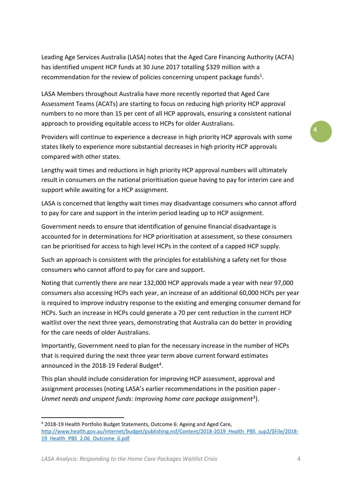Leading Age Services Australia (LASA) notes that the Aged Care Financing Authority (ACFA) has identified unspent HCP funds at 30 June 2017 totalling \$329 million with a recommendation for the review of policies concerning unspent package funds<sup>1</sup>.

LASA Members throughout Australia have more recently reported that Aged Care Assessment Teams (ACATs) are starting to focus on reducing high priority HCP approval numbers to no more than 15 per cent of all HCP approvals, ensuring a consistent national approach to providing equitable access to HCPs for older Australians.

Providers will continue to experience a decrease in high priority HCP approvals with some states likely to experience more substantial decreases in high priority HCP approvals compared with other states.

Lengthy wait times and reductions in high priority HCP approval numbers will ultimately result in consumers on the national prioritisation queue having to pay for interim care and support while awaiting for a HCP assignment.

LASA is concerned that lengthy wait times may disadvantage consumers who cannot afford to pay for care and support in the interim period leading up to HCP assignment.

Government needs to ensure that identification of genuine financial disadvantage is accounted for in determinations for HCP prioritisation at assessment, so these consumers can be prioritised for access to high level HCPs in the context of a capped HCP supply.

Such an approach is consistent with the principles for establishing a safety net for those consumers who cannot afford to pay for care and support.

Noting that currently there are near 132,000 HCP approvals made a year with near 97,000 consumers also accessing HCPs each year, an increase of an additional 60,000 HCPs per year is required to improve industry response to the existing and emerging consumer demand for HCPs. Such an increase in HCPs could generate a 70 per cent reduction in the current HCP waitlist over the next three years, demonstrating that Australia can do better in providing for the care needs of older Australians.

Importantly, Government need to plan for the necessary increase in the number of HCPs that is required during the next three year term above current forward estimates announced in the 2018-19 Federal Budget<sup>4</sup>.

This plan should include consideration for improving HCP assessment, approval and assignment processes (noting LASA's earlier recommendations in the position paper - Unmet needs and unspent funds: Improving home care package assignment<sup>3</sup>).

*LASA Analysis: Responding to the Home Care Packages Waitlist Crisis* 4

**.** 

<sup>4</sup> 2018-19 Health Portfolio Budget Statements, Outcome 6: Ageing and Aged Care, [http://www.health.gov.au/internet/budget/publishing.nsf/Content/2018-2019\\_Health\\_PBS\\_sup2/\\$File/2018-](http://www.health.gov.au/internet/budget/publishing.nsf/Content/2018-2019_Health_PBS_sup2/$File/2018-19_Health_PBS_2.06_Outcome_6.pdf) [19\\_Health\\_PBS\\_2.06\\_Outcome\\_6.pdf](http://www.health.gov.au/internet/budget/publishing.nsf/Content/2018-2019_Health_PBS_sup2/$File/2018-19_Health_PBS_2.06_Outcome_6.pdf)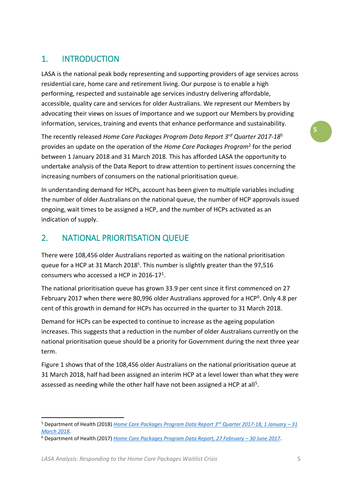# <span id="page-4-0"></span>1. INTRODUCTION

LASA is the national peak body representing and supporting providers of age services across residential care, home care and retirement living. Our purpose is to enable a high performing, respected and sustainable age services industry delivering affordable, accessible, quality care and services for older Australians. We represent our Members by advocating their views on issues of importance and we support our Members by providing information, services, training and events that enhance performance and sustainability.

The recently released *Home Care Packages Program Data Report 3rd Quarter 2017-18*<sup>5</sup> provides an update on the operation of the *Home Care Packages Program*<sup>2</sup> for the period between 1 January 2018 and 31 March 2018. This has afforded LASA the opportunity to undertake analysis of the Data Report to draw attention to pertinent issues concerning the increasing numbers of consumers on the national prioritisation queue.

In understanding demand for HCPs, account has been given to multiple variables including the number of older Australians on the national queue, the number of HCP approvals issued ongoing, wait times to be assigned a HCP, and the number of HCPs activated as an indication of supply.

## <span id="page-4-1"></span>2. NATIONAL PRIORITISATION QUEUE

There were 108,456 older Australians reported as waiting on the national prioritisation queue for a HCP at 31 March 2018<sup>5</sup>. This number is slightly greater than the 97,516 consumers who accessed a HCP in 2016-17<sup>1</sup>.

The national prioritisation queue has grown 33.9 per cent since it first commenced on 27 February 2017 when there were 80,996 older Australians approved for a HCP<sup>6</sup>. Only 4.8 per cent of this growth in demand for HCPs has occurred in the quarter to 31 March 2018.

Demand for HCPs can be expected to continue to increase as the ageing population increases. This suggests that a reduction in the number of older Australians currently on the national prioritisation queue should be a priority for Government during the next three year term.

Figure 1 shows that of the 108,456 older Australians on the national prioritisation queue at 31 March 2018, half had been assigned an interim HCP at a level lower than what they were assessed as needing while the other half have not been assigned a HCP at all<sup>5</sup>.

**.** 

<sup>5</sup> Department of Health (2018) *[Home Care Packages Program Data Report 3](https://gen-agedcaredata.gov.au/Resources/Reports-and-publications/2018/August/Home-care-packages-program-data-report-1-January-–)rd Quarter 2017-18, 1 January – 31 [March 2018.](https://gen-agedcaredata.gov.au/Resources/Reports-and-publications/2018/August/Home-care-packages-program-data-report-1-January-–)* 

<sup>6</sup> Department of Health (2017) *[Home Care Packages Program Data Report, 27 February](https://gen-agedcaredata.gov.au/Resources/Reports-and-publications/2017/September/Home-care-packages-program-data-report-27-February) – 30 June 2017*.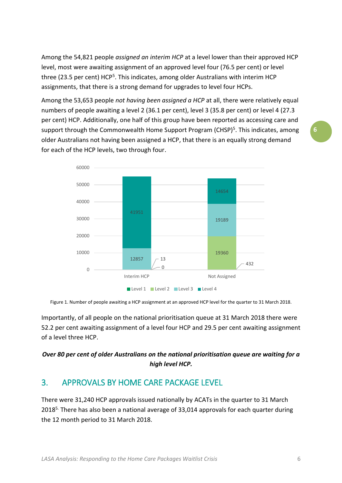Among the 54,821 people *assigned an interim HCP* at a level lower than their approved HCP level, most were awaiting assignment of an approved level four (76.5 per cent) or level three (23.5 per cent) HCP<sup>5</sup>. This indicates, among older Australians with interim HCP assignments, that there is a strong demand for upgrades to level four HCPs.

Among the 53,653 people *not having been assigned a HCP* at all, there were relatively equal numbers of people awaiting a level 2 (36.1 per cent), level 3 (35.8 per cent) or level 4 (27.3 per cent) HCP. Additionally, one half of this group have been reported as accessing care and support through the Commonwealth Home Support Program (CHSP)<sup>5</sup>. This indicates, among older Australians not having been assigned a HCP, that there is an equally strong demand for each of the HCP levels, two through four.



Figure 1. Number of people awaiting a HCP assignment at an approved HCP level for the quarter to 31 March 2018.

Importantly, of all people on the national prioritisation queue at 31 March 2018 there were 52.2 per cent awaiting assignment of a level four HCP and 29.5 per cent awaiting assignment of a level three HCP.

#### *Over 80 per cent of older Australians on the national prioritisation queue are waiting for a high level HCP.*

#### <span id="page-5-0"></span>3. APPROVALS BY HOME CARE PACKAGE LEVEL

There were 31,240 HCP approvals issued nationally by ACATs in the quarter to 31 March  $2018<sup>5</sup>$ . There has also been a national average of 33,014 approvals for each quarter during the 12 month period to 31 March 2018.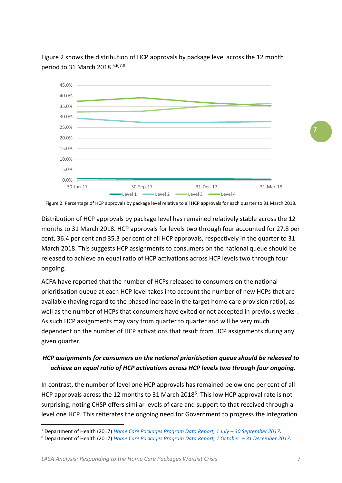

Figure 2 shows the distribution of HCP approvals by package level across the 12 month period to 31 March 2018 5,6,7,8.

Figure 2. Percentage of HCP approvals by package level relative to all HCP approvals for each quarter to 31 March 2018.

Distribution of HCP approvals by package level has remained relatively stable across the 12 months to 31 March 2018. HCP approvals for levels two through four accounted for 27.8 per cent, 36.4 per cent and 35.3 per cent of all HCP approvals, respectively in the quarter to 31 March 2018. This suggests HCP assignments to consumers on the national queue should be released to achieve an equal ratio of HCP activations across HCP levels two through four ongoing.

ACFA have reported that the number of HCPs released to consumers on the national prioritisation queue at each HCP level takes into account the number of new HCPs that are available (having regard to the phased increase in the target home care provision ratio), as well as the number of HCPs that consumers have exited or not accepted in previous weeks<sup>1</sup>. As such HCP assignments may vary from quarter to quarter and will be very much dependent on the number of HCP activations that result from HCP assignments during any given quarter.

#### *HCP assignments for consumers on the national prioritisation queue should be released to achieve an equal ratio of HCP activations across HCP levels two through four ongoing.*

In contrast, the number of level one HCP approvals has remained below one per cent of all HCP approvals across the 12 months to 31 March 2018<sup>5</sup>. This low HCP approval rate is not surprising, noting CHSP offers similar levels of care and support to that received through a level one HCP. This reiterates the ongoing need for Government to progress the integration

 $\overline{a}$ 

<sup>7</sup> Department of Health (2017) *[Home Care Packages Program Data Report, 1 July](https://www.gen-agedcaredata.gov.au/Resources/Reports-and-publications/2017/December/Home-care-packages-program-data-report-1-July-–-30) – 30 September 2017*.

<sup>8</sup> Department of Health (2017) *Home Care [Packages Program Data Report, 1 October](https://www.gen-agedcaredata.gov.au/Resources/Reports-and-publications/2018/Mar/Home-care-packages-program-data-report-1-October-–) – 31 December 2017*.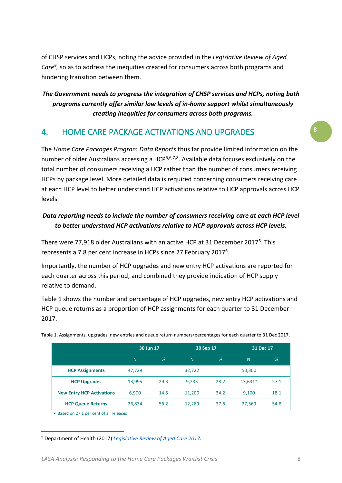of CHSP services and HCPs, noting the advice provided in the *Legislative Review of Aged*  Care<sup>9</sup>, so as to address the inequities created for consumers across both programs and hindering transition between them.

*The Government needs to progress the integration of CHSP services and HCPs, noting both programs currently offer similar low levels of in-home support whilst simultaneously creating inequities for consumers across both programs.* 

#### <span id="page-7-0"></span>4. HOME CARE PACKAGE ACTIVATIONS AND UPGRADES

The *Home Care Packages Program Data Reports* thus far provide limited information on the number of older Australians accessing a HCP<sup>5,6,7,8</sup>. Available data focuses exclusively on the total number of consumers receiving a HCP rather than the number of consumers receiving HCPs by package level. More detailed data is required concerning consumers receiving care at each HCP level to better understand HCP activations relative to HCP approvals across HCP levels.

#### *Data reporting needs to include the number of consumers receiving care at each HCP level to better understand HCP activations relative to HCP approvals across HCP levels.*

There were 77,918 older Australians with an active HCP at 31 December 2017<sup>5</sup>. This represents a 7.8 per cent increase in HCPs since 27 February 2017<sup>6</sup>.

Importantly, the number of HCP upgrades and new entry HCP activations are reported for each quarter across this period, and combined they provide indication of HCP supply relative to demand.

Table 1 shows the number and percentage of HCP upgrades, new entry HCP activations and HCP queue returns as a proportion of HCP assignments for each quarter to 31 December 2017.

|                                  | 30 Jun 17 |      | 30 Sep 17 |      | 31 Dec 17 |      |
|----------------------------------|-----------|------|-----------|------|-----------|------|
|                                  | N         | %    | N         | $\%$ | N         | %    |
| <b>HCP Assignments</b>           | 47,729    |      | 32,722    |      | 50,300    |      |
| <b>HCP Upgrades</b>              | 13,995    | 29.3 | 9,233     | 28.2 | $13,631*$ | 27.1 |
| <b>New Entry HCP Activations</b> | 6,900     | 14.5 | 11,200    | 34.2 | 9,100     | 18.1 |
| <b>HCP Queue Returns</b>         | 26,834    | 56.2 | 12,289    | 37.6 | 27,569    | 54.8 |

Table 1. Assignments, upgrades, new entries and queue return numbers/percentages for each quarter to 31 Dec 2017.

● Based on 27.1 per cent of all releases

**.** <sup>9</sup> Department of Health (2017) *[Legislative Review of Aged Care 2017.](https://agedcare.health.gov.au/legislated-review-of-aged-care-2017-report)*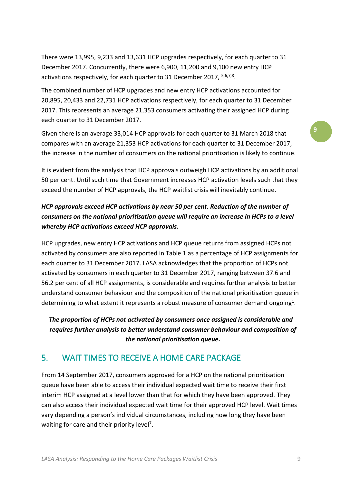There were 13,995, 9,233 and 13,631 HCP upgrades respectively, for each quarter to 31 December 2017. Concurrently, there were 6,900, 11,200 and 9,100 new entry HCP activations respectively, for each quarter to 31 December 2017, <sup>5,6,7,8</sup>.

The combined number of HCP upgrades and new entry HCP activations accounted for 20,895, 20,433 and 22,731 HCP activations respectively, for each quarter to 31 December 2017. This represents an average 21,353 consumers activating their assigned HCP during each quarter to 31 December 2017.

Given there is an average 33,014 HCP approvals for each quarter to 31 March 2018 that compares with an average 21,353 HCP activations for each quarter to 31 December 2017, the increase in the number of consumers on the national prioritisation is likely to continue.

It is evident from the analysis that HCP approvals outweigh HCP activations by an additional 50 per cent. Until such time that Government increases HCP activation levels such that they exceed the number of HCP approvals, the HCP waitlist crisis will inevitably continue.

#### *HCP approvals exceed HCP activations by near 50 per cent. Reduction of the number of consumers on the national prioritisation queue will require an increase in HCPs to a level whereby HCP activations exceed HCP approvals.*

HCP upgrades, new entry HCP activations and HCP queue returns from assigned HCPs not activated by consumers are also reported in Table 1 as a percentage of HCP assignments for each quarter to 31 December 2017. LASA acknowledges that the proportion of HCPs not activated by consumers in each quarter to 31 December 2017, ranging between 37.6 and 56.2 per cent of all HCP assignments, is considerable and requires further analysis to better understand consumer behaviour and the composition of the national prioritisation queue in determining to what extent it represents a robust measure of consumer demand ongoing<sup>1</sup>.

*The proportion of HCPs not activated by consumers once assigned is considerable and requires further analysis to better understand consumer behaviour and composition of the national prioritisation queue.* 

## <span id="page-8-0"></span>5. WAIT TIMES TO RECEIVE A HOME CARE PACKAGE

From 14 September 2017, consumers approved for a HCP on the national prioritisation queue have been able to access their individual expected wait time to receive their first interim HCP assigned at a level lower than that for which they have been approved. They can also access their individual expected wait time for their approved HCP level. Wait times vary depending a person's individual circumstances, including how long they have been waiting for care and their priority level<sup>7</sup>.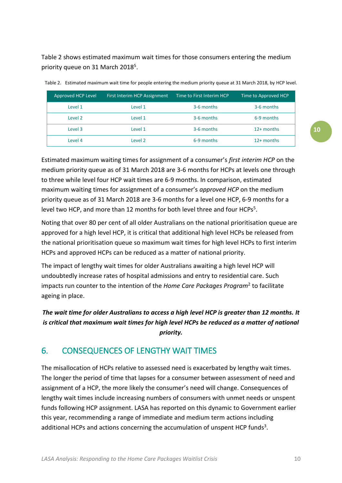Table 2 shows estimated maximum wait times for those consumers entering the medium priority queue on 31 March 2018<sup>5</sup>.

| Approved HCP Level | First Interim HCP Assignment | Time to First Interim HCP | Time to Approved HCP |
|--------------------|------------------------------|---------------------------|----------------------|
| Level 1            | Level 1                      | 3-6 months                | 3-6 months           |
| Level 2            | Level 1                      | 3-6 months                | 6-9 months           |
| Level 3            | Level 1                      | 3-6 months                | $12+$ months         |
| Level 4            | Level 2                      | 6-9 months                | $12+$ months         |

| Table 2. Estimated maximum wait time for people entering the medium priority queue at 31 March 2018, by HCP level. |  |  |  |  |  |  |  |
|--------------------------------------------------------------------------------------------------------------------|--|--|--|--|--|--|--|
|--------------------------------------------------------------------------------------------------------------------|--|--|--|--|--|--|--|

Estimated maximum waiting times for assignment of a consumer's *first interim HCP* on the medium priority queue as of 31 March 2018 are 3-6 months for HCPs at levels one through to three while level four HCP wait times are 6-9 months. In comparison, estimated maximum waiting times for assignment of a consumer's *approved HCP* on the medium priority queue as of 31 March 2018 are 3-6 months for a level one HCP, 6-9 months for a level two HCP, and more than 12 months for both level three and four HCPs<sup>5</sup>.

Noting that over 80 per cent of all older Australians on the national prioritisation queue are approved for a high level HCP, it is critical that additional high level HCPs be released from the national prioritisation queue so maximum wait times for high level HCPs to first interim HCPs and approved HCPs can be reduced as a matter of national priority.

The impact of lengthy wait times for older Australians awaiting a high level HCP will undoubtedly increase rates of hospital admissions and entry to residential care. Such impacts run counter to the intention of the *Home Care Packages Program*<sup>2</sup> to facilitate ageing in place.

#### *The wait time for older Australians to access a high level HCP is greater than 12 months. It is critical that maximum wait times for high level HCPs be reduced as a matter of national priority.*

## <span id="page-9-0"></span>6. CONSEQUENCES OF LENGTHY WAIT TIMES

The misallocation of HCPs relative to assessed need is exacerbated by lengthy wait times. The longer the period of time that lapses for a consumer between assessment of need and assignment of a HCP, the more likely the consumer's need will change. Consequences of lengthy wait times include increasing numbers of consumers with unmet needs or unspent funds following HCP assignment. LASA has reported on this dynamic to Government earlier this year, recommending a range of immediate and medium term actions including additional HCPs and actions concerning the accumulation of unspent HCP funds<sup>3</sup>.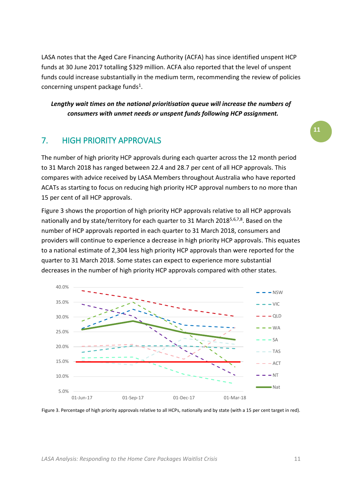LASA notes that the Aged Care Financing Authority (ACFA) has since identified unspent HCP funds at 30 June 2017 totalling \$329 million. ACFA also reported that the level of unspent funds could increase substantially in the medium term, recommending the review of policies concerning unspent package funds<sup>1</sup>.

*Lengthy wait times on the national prioritisation queue will increase the numbers of consumers with unmet needs or unspent funds following HCP assignment.*

#### <span id="page-10-0"></span>7. HIGH PRIORITY APPROVALS

The number of high priority HCP approvals during each quarter across the 12 month period to 31 March 2018 has ranged between 22.4 and 28.7 per cent of all HCP approvals. This compares with advice received by LASA Members throughout Australia who have reported ACATs as starting to focus on reducing high priority HCP approval numbers to no more than 15 per cent of all HCP approvals.

Figure 3 shows the proportion of high priority HCP approvals relative to all HCP approvals nationally and by state/territory for each quarter to 31 March 2018<sup>5,6,7,8</sup>. Based on the number of HCP approvals reported in each quarter to 31 March 2018, consumers and providers will continue to experience a decrease in high priority HCP approvals. This equates to a national estimate of 2,304 less high priority HCP approvals than were reported for the quarter to 31 March 2018. Some states can expect to experience more substantial decreases in the number of high priority HCP approvals compared with other states.



Figure 3. Percentage of high priority approvals relative to all HCPs, nationally and by state (with a 15 per cent target in red).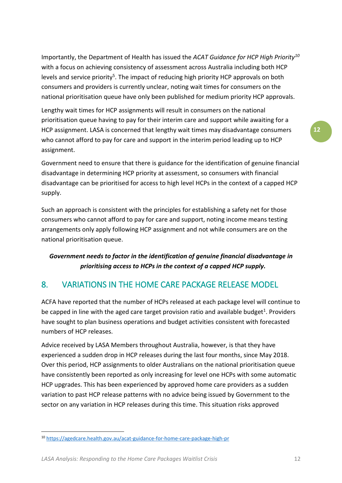Importantly, the Department of Health has issued the *ACAT Guidance for HCP High Priority<sup>10</sup>* with a focus on achieving consistency of assessment across Australia including both HCP levels and service priority<sup>5</sup>. The impact of reducing high priority HCP approvals on both consumers and providers is currently unclear, noting wait times for consumers on the national prioritisation queue have only been published for medium priority HCP approvals.

Lengthy wait times for HCP assignments will result in consumers on the national prioritisation queue having to pay for their interim care and support while awaiting for a HCP assignment. LASA is concerned that lengthy wait times may disadvantage consumers who cannot afford to pay for care and support in the interim period leading up to HCP assignment.

Government need to ensure that there is guidance for the identification of genuine financial disadvantage in determining HCP priority at assessment, so consumers with financial disadvantage can be prioritised for access to high level HCPs in the context of a capped HCP supply.

Such an approach is consistent with the principles for establishing a safety net for those consumers who cannot afford to pay for care and support, noting income means testing arrangements only apply following HCP assignment and not while consumers are on the national prioritisation queue.

#### *Government needs to factor in the identification of genuine financial disadvantage in prioritising access to HCPs in the context of a capped HCP supply.*

## <span id="page-11-0"></span>8. VARIATIONS IN THE HOME CARE PACKAGE RELEASE MODEL

ACFA have reported that the number of HCPs released at each package level will continue to be capped in line with the aged care target provision ratio and available budget<sup>1</sup>. Providers have sought to plan business operations and budget activities consistent with forecasted numbers of HCP releases.

Advice received by LASA Members throughout Australia, however, is that they have experienced a sudden drop in HCP releases during the last four months, since May 2018. Over this period, HCP assignments to older Australians on the national prioritisation queue have consistently been reported as only increasing for level one HCPs with some automatic HCP upgrades. This has been experienced by approved home care providers as a sudden variation to past HCP release patterns with no advice being issued by Government to the sector on any variation in HCP releases during this time. This situation risks approved

**.** 

<sup>10</sup> <https://agedcare.health.gov.au/acat-guidance-for-home-care-package-high-pr>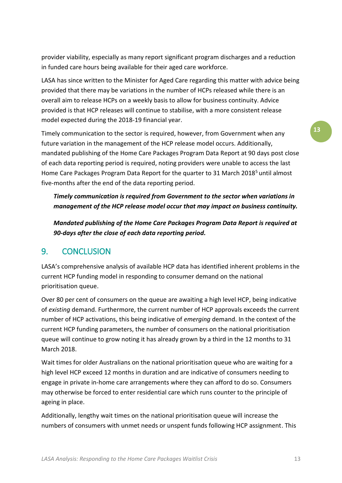provider viability, especially as many report significant program discharges and a reduction in funded care hours being available for their aged care workforce.

LASA has since written to the Minister for Aged Care regarding this matter with advice being provided that there may be variations in the number of HCPs released while there is an overall aim to release HCPs on a weekly basis to allow for business continuity. Advice provided is that HCP releases will continue to stabilise, with a more consistent release model expected during the 2018-19 financial year.

Timely communication to the sector is required, however, from Government when any future variation in the management of the HCP release model occurs. Additionally, mandated publishing of the Home Care Packages Program Data Report at 90 days post close of each data reporting period is required, noting providers were unable to access the last Home Care Packages Program Data Report for the quarter to 31 March 2018<sup>5</sup> until almost five-months after the end of the data reporting period.

*Timely communication is required from Government to the sector when variations in management of the HCP release model occur that may impact on business continuity.* 

*Mandated publishing of the Home Care Packages Program Data Report is required at 90-days after the close of each data reporting period.*

#### <span id="page-12-0"></span>9. CONCLUSION

LASA's comprehensive analysis of available HCP data has identified inherent problems in the current HCP funding model in responding to consumer demand on the national prioritisation queue.

Over 80 per cent of consumers on the queue are awaiting a high level HCP, being indicative of *existing* demand. Furthermore, the current number of HCP approvals exceeds the current number of HCP activations, this being indicative of *emerging* demand. In the context of the current HCP funding parameters, the number of consumers on the national prioritisation queue will continue to grow noting it has already grown by a third in the 12 months to 31 March 2018.

Wait times for older Australians on the national prioritisation queue who are waiting for a high level HCP exceed 12 months in duration and are indicative of consumers needing to engage in private in-home care arrangements where they can afford to do so. Consumers may otherwise be forced to enter residential care which runs counter to the principle of ageing in place.

Additionally, lengthy wait times on the national prioritisation queue will increase the numbers of consumers with unmet needs or unspent funds following HCP assignment. This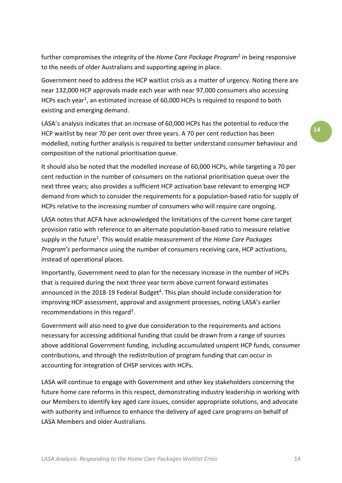further compromises the integrity of the *Home Care Package Program*<sup>2</sup> in being responsive to the needs of older Australians and supporting ageing in place.

Government need to address the HCP waitlist crisis as a matter of urgency. Noting there are near 132,000 HCP approvals made each year with near 97,000 consumers also accessing HCPs each year<sup>1</sup>, an estimated increase of 60,000 HCPs is required to respond to both existing and emerging demand.

LASA's analysis indicates that an increase of 60,000 HCPs has the potential to reduce the HCP waitlist by near 70 per cent over three years. A 70 per cent reduction has been modelled, noting further analysis is required to better understand consumer behaviour and composition of the national prioritisation queue.

It should also be noted that the modelled increase of 60,000 HCPs, while targeting a 70 per cent reduction in the number of consumers on the national prioritisation queue over the next three years; also provides a sufficient HCP activation base relevant to emerging HCP demand from which to consider the requirements for a population-based ratio for supply of HCPs relative to the increasing number of consumers who will require care ongoing.

LASA notes that ACFA have acknowledged the limitations of the current home care target provision ratio with reference to an alternate population-based ratio to measure relative supply in the future<sup>1</sup>. This would enable measurement of the *Home Care Packages Program's* performance using the number of consumers receiving care, HCP activations, instead of operational places.

Importantly, Government need to plan for the necessary increase in the number of HCPs that is required during the next three year term above current forward estimates announced in the 2018-19 Federal Budget<sup>4</sup>. This plan should include consideration for improving HCP assessment, approval and assignment processes, noting LASA's earlier recommendations in this regard<sup>3</sup>.

Government will also need to give due consideration to the requirements and actions necessary for accessing additional funding that could be drawn from a range of sources above additional Government funding, including accumulated unspent HCP funds, consumer contributions, and through the redistribution of program funding that can occur in accounting for integration of CHSP services with HCPs.

LASA will continue to engage with Government and other key stakeholders concerning the future home care reforms in this respect, demonstrating industry leadership in working with our Members to identify key aged care issues, consider appropriate solutions, and advocate with authority and influence to enhance the delivery of aged care programs on behalf of LASA Members and older Australians.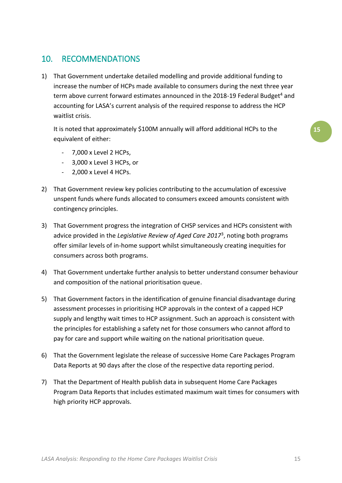## <span id="page-14-0"></span>10. RECOMMENDATIONS

1) That Government undertake detailed modelling and provide additional funding to increase the number of HCPs made available to consumers during the next three year term above current forward estimates announced in the 2018-19 Federal Budget<sup>4</sup> and accounting for LASA's current analysis of the required response to address the HCP waitlist crisis.

It is noted that approximately \$100M annually will afford additional HCPs to the equivalent of either:

- 7,000 x Level 2 HCPs,
- 3,000 x Level 3 HCPs, or
- 2,000 x Level 4 HCPs.
- 2) That Government review key policies contributing to the accumulation of excessive unspent funds where funds allocated to consumers exceed amounts consistent with contingency principles.
- 3) That Government progress the integration of CHSP services and HCPs consistent with advice provided in the *Legislative Review of Aged Care 2017*<sup>3</sup> , noting both programs offer similar levels of in-home support whilst simultaneously creating inequities for consumers across both programs.
- 4) That Government undertake further analysis to better understand consumer behaviour and composition of the national prioritisation queue.
- 5) That Government factors in the identification of genuine financial disadvantage during assessment processes in prioritising HCP approvals in the context of a capped HCP supply and lengthy wait times to HCP assignment. Such an approach is consistent with the principles for establishing a safety net for those consumers who cannot afford to pay for care and support while waiting on the national prioritisation queue.
- 6) That the Government legislate the release of successive Home Care Packages Program Data Reports at 90 days after the close of the respective data reporting period.
- 7) That the Department of Health publish data in subsequent Home Care Packages Program Data Reports that includes estimated maximum wait times for consumers with high priority HCP approvals.

**15**